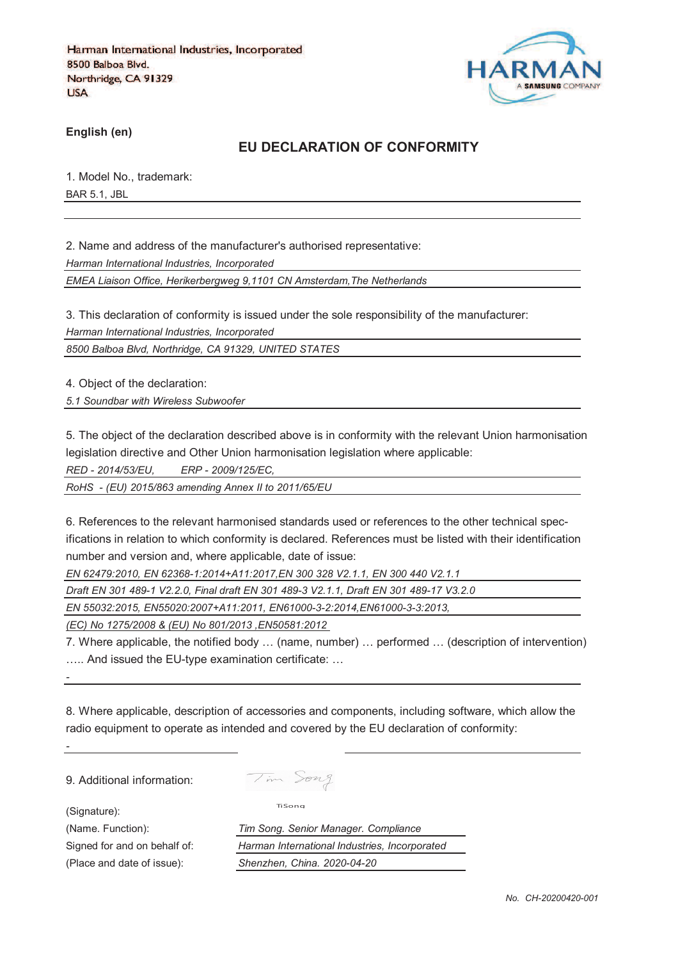

**English (en)**

# **EU DECLARATION OF CONFORMITY**

1. Model No., trademark: BAR 5.1, JBL

2. Name and address of the manufacturer's authorised representative:

*Harman International Industries, Incorporated*

*EMEA Liaison Office, Herikerbergweg 9,1101 CN Amsterdam,The Netherlands*

3. This declaration of conformity is issued under the sole responsibility of the manufacturer:

*Harman International Industries, Incorporated*

*8500 Balboa Blvd, Northridge, CA 91329, UNITED STATES*

4. Object of the declaration:

*5.1 Soundbar with Wireless Subwoofer*

5. The object of the declaration described above is in conformity with the relevant Union harmonisation legislation directive and Other Union harmonisation legislation where applicable:

*RED - 2014/53/EU, ERP - 2009/125/EC,*

*RoHS - (EU) 2015/863 amending Annex II to 2011/65/EU*

6. References to the relevant harmonised standards used or references to the other technical specifications in relation to which conformity is declared. References must be listed with their identification number and version and, where applicable, date of issue:

*EN 62479:2010, EN 62368-1:2014+A11:2017,EN 300 328 V2.1.1, EN 300 440 V2.1.1*

*Draft EN 301 489-1 V2.2.0, Final draft EN 301 489-3 V2.1.1, Draft EN 301 489-17 V3.2.0*

*EN 55032:2015, EN55020:2007+A11:2011, EN61000-3-2:2014,EN61000-3-3:2013,* 

*(EC) No 1275/2008 & (EU) No 801/2013 ,EN50581:2012* 

7. Where applicable, the notified body … (name, number) … performed … (description of intervention) ….. And issued the EU-type examination certificate: …

8. Where applicable, description of accessories and components, including software, which allow the radio equipment to operate as intended and covered by the EU declaration of conformity:

9. Additional information:

(Signature):

*-*

*-*

Tim Song

TiSong

(Name. Function): *Tim Song. Senior Manager. Compliance* Signed for and on behalf of: *Harman International Industries, Incorporated* (Place and date of issue): *Shenzhen, China. 2020-04-20*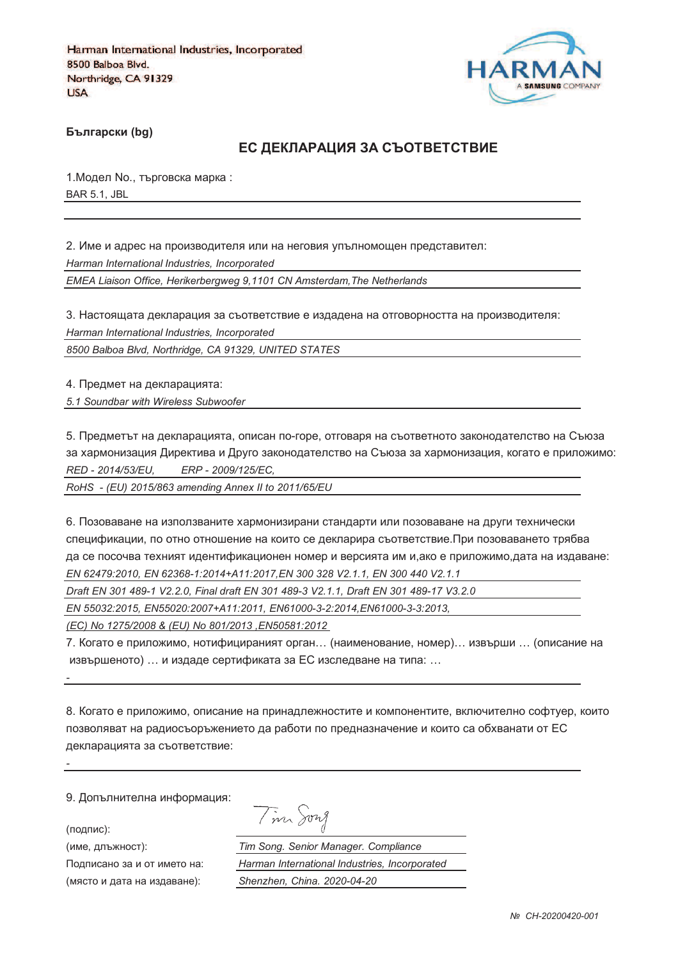

**Български (bg)** 

## ЕС ДЕКЛАРАЦИЯ ЗА СЪОТВЕТСТВИЕ

1. Модел No., търговска марка: BAR 5.1, JBL

2. Име и адрес на производителя или на неговия упълномощен представител: *Harman International Industries, Incorporated EMEA Liaison Office, Herikerbergweg 9,1101 CN Amsterdam,The Netherlands*

3. Настоящата декларация за съответствие е издадена на отговорността на производителя: *Harman International Industries, Incorporated*

*8500 Balboa Blvd, Northridge, CA 91329, UNITED STATES*

4. Предмет на декларацията:

*5.1 Soundbar with Wireless Subwoofer*

5. Предметът на декларацията, описан по-горе, отговаря на съответното законодателство на Съюза за хармонизация Директива и Друго законодателство на Съюза за хармонизация, когато е приложимо: *RED - 2014/53/EU, ERP - 2009/125/EC,*

*RoHS - (EU) 2015/863 amending Annex II to 2011/65/EU*

6. Позоваване на използваните хармонизирани стандарти или позоваване на други технически спецификации, по отно отношение на които се декларира съответствие.При позоваването трябва да се посочва техният идентификационен номер и версията им и,ако е приложимо,дата на издаване: *EN 62479:2010, EN 62368-1:2014+A11:2017,EN 300 328 V2.1.1, EN 300 440 V2.1.1*

*Draft EN 301 489-1 V2.2.0, Final draft EN 301 489-3 V2.1.1, Draft EN 301 489-17 V3.2.0*

*EN 55032:2015, EN55020:2007+A11:2011, EN61000-3-2:2014,EN61000-3-3:2013,* 

*(EC) No 1275/2008 & (EU) No 801/2013 ,EN50581:2012* 

7. Когато е приложимо, нотифицираният орган… (наименование, номер)… извърши … (описание на извършеното) … и издаде сертификата за ЕС изследване на типа: …

8. Когато е приложимо, описание на принадлежностите и компонентите, включително софтуер, които позволяват на радиосъоръжението да работи по предназначение и които са обхванати от ЕС декларацията за съответствие:

9. Допълнителна информация:

(подпис):

*-*

*-*

(име, длъжност):

Подписано за и от името (място и дата на издав

Tim Song

): *Tim Song. Senior Manager. Compliance* : *Harman International Industries, Incorporated* ): *Shenzhen, China. 2020-04-20*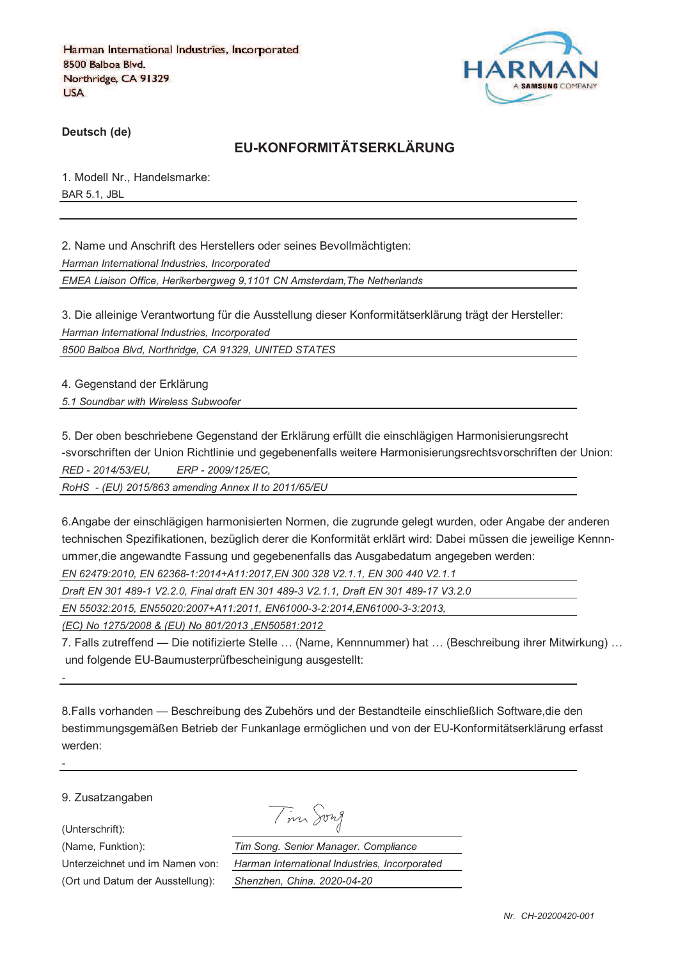

**Deutsch (de)**

# **EU-KONFORMITÄTSERKLÄRUNG**

1. Modell Nr., Handelsmarke: BAR 5.1, JBL

2. Name und Anschrift des Herstellers oder seines Bevollmächtigten: *Harman International Industries, Incorporated EMEA Liaison Office, Herikerbergweg 9,1101 CN Amsterdam,The Netherlands*

3. Die alleinige Verantwortung für die Ausstellung dieser Konformitätserklärung trägt der Hersteller: *Harman International Industries, Incorporated*

*8500 Balboa Blvd, Northridge, CA 91329, UNITED STATES*

4. Gegenstand der Erklärung

*5.1 Soundbar with Wireless Subwoofer*

5. Der oben beschriebene Gegenstand der Erklärung erfüllt die einschlägigen Harmonisierungsrecht -svorschriften der Union Richtlinie und gegebenenfalls weitere Harmonisierungsrechtsvorschriften der Union: *RED - 2014/53/EU, ERP - 2009/125/EC,*

*RoHS - (EU) 2015/863 amending Annex II to 2011/65/EU*

6.Angabe der einschlägigen harmonisierten Normen, die zugrunde gelegt wurden, oder Angabe der anderen technischen Spezifikationen, bezüglich derer die Konformität erklärt wird: Dabei müssen die jeweilige Kennnummer,die angewandte Fassung und gegebenenfalls das Ausgabedatum angegeben werden:

*EN 62479:2010, EN 62368-1:2014+A11:2017,EN 300 328 V2.1.1, EN 300 440 V2.1.1*

*Draft EN 301 489-1 V2.2.0, Final draft EN 301 489-3 V2.1.1, Draft EN 301 489-17 V3.2.0*

*EN 55032:2015, EN55020:2007+A11:2011, EN61000-3-2:2014,EN61000-3-3:2013,* 

*(EC) No 1275/2008 & (EU) No 801/2013 ,EN50581:2012* 

7. Falls zutreffend — Die notifizierte Stelle … (Name, Kennnummer) hat … (Beschreibung ihrer Mitwirkung) … und folgende EU-Baumusterprüfbescheinigung ausgestellt:

8.Falls vorhanden — Beschreibung des Zubehörs und der Bestandteile einschließlich Software,die den bestimmungsgemäßen Betrieb der Funkanlage ermöglichen und von der EU-Konformitätserklärung erfasst werden:

9. Zusatzangaben

(Unterschrift):

*-*

*-*

Tim Song

(Name, Funktion): *Tim Song. Senior Manager. Compliance* Unterzeichnet und im Namen von: *Harman International Industries, Incorporated* (Ort und Datum der Ausstellung): *Shenzhen, China. 2020-04-20*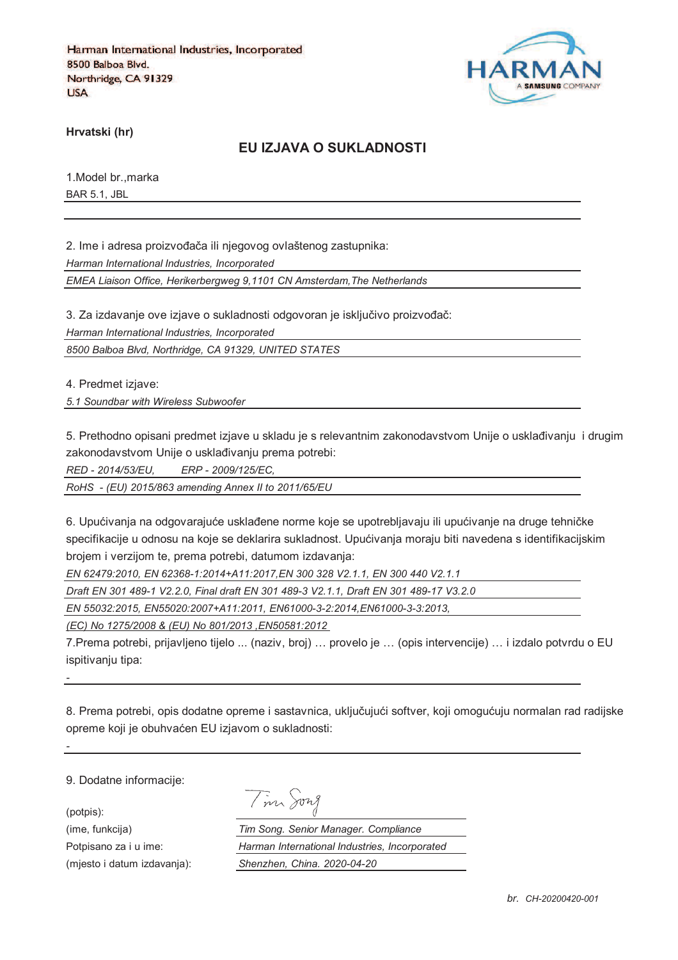

**Hrvatski (hr)**

#### **EU IZJAVA O SUKLADNOSTI**

1.Model br.,marka BAR 5.1, JBL

2. Ime i adresa proizvođača ili njegovog ovlaštenog zastupnika: *Harman International Industries, Incorporated*

*EMEA Liaison Office, Herikerbergweg 9,1101 CN Amsterdam,The Netherlands*

3. Za izdavanje ove izjave o sukladnosti odgovoran je isključivo proizvođač:

*Harman International Industries, Incorporated*

*8500 Balboa Blvd, Northridge, CA 91329, UNITED STATES*

4. Predmet izjave:

*5.1 Soundbar with Wireless Subwoofer*

5. Prethodno opisani predmet izjave u skladu je s relevantnim zakonodavstvom Unije o usklađivanju i drugim zakonodavstvom Unije o usklađivanju prema potrebi:

*RED - 2014/53/EU, ERP - 2009/125/EC,*

*RoHS - (EU) 2015/863 amending Annex II to 2011/65/EU*

6. Upućivanja na odgovarajuće usklađene norme koje se upotrebljavaju ili upućivanje na druge tehničke specifikacije u odnosu na koje se deklarira sukladnost. Upućivanja moraju biti navedena s identifikacijskim brojem i verzijom te, prema potrebi, datumom izdavanja:

*EN 62479:2010, EN 62368-1:2014+A11:2017,EN 300 328 V2.1.1, EN 300 440 V2.1.1*

*Draft EN 301 489-1 V2.2.0, Final draft EN 301 489-3 V2.1.1, Draft EN 301 489-17 V3.2.0*

*EN 55032:2015, EN55020:2007+A11:2011, EN61000-3-2:2014,EN61000-3-3:2013,* 

*(EC) No 1275/2008 & (EU) No 801/2013 ,EN50581:2012* 

7.Prema potrebi, prijavljeno tijelo ... (naziv, broj) … provelo je … (opis intervencije) … i izdalo potvrdu o EU ispitivaniu tipa:

8. Prema potrebi, opis dodatne opreme i sastavnica, uključujući softver, koji omogućuju normalan rad radijske opreme koji je obuhvaćen EU izjavom o sukladnosti:

9. Dodatne informacije:

*-*

*-*

(potpis):

|  | vw<br>71 |
|--|----------|
|  |          |

(ime, funkcija) *Tim Song. Senior Manager. Compliance* Potpisano za i u ime: *Harman International Industries, Incorporated* (mjesto i datum izdavanja): *Shenzhen, China. 2020-04-20*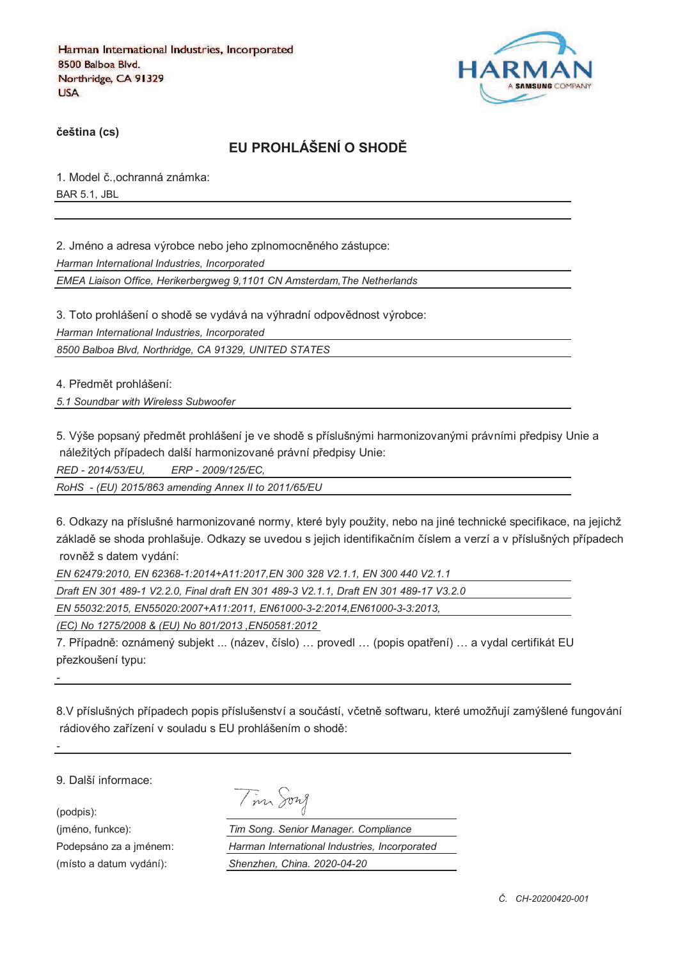

**%eština (cs)**

# **EU PROHLÁŠENÍ O SHOD&**

1. Model č., ochranná známka: BAR 5.1, JBL

2. Jméno a adresa výrobce nebo jeho zplnomocněného zástupce:

*Harman International Industries, Incorporated*

*EMEA Liaison Office, Herikerbergweg 9,1101 CN Amsterdam,The Netherlands*

3. Toto prohlášení o shodě se vydává na výhradní odpovědnost výrobce:

*Harman International Industries, Incorporated*

*8500 Balboa Blvd, Northridge, CA 91329, UNITED STATES*

4. Předmět prohlášení:

*5.1 Soundbar with Wireless Subwoofer*

5. Výše popsaný předmět prohlášení je ve shodě s příslušnými harmonizovanými právními předpisy Unie a náležitých případech další harmonizované právní předpisy Unie:

*RED - 2014/53/EU, ERP - 2009/125/EC,*

*RoHS - (EU) 2015/863 amending Annex II to 2011/65/EU*

6. Odkazy na příslušné harmonizované normy, které byly použity, nebo na jiné technické specifikace, na jejichž základě se shoda prohlašuje. Odkazy se uvedou s jejich identifikačním číslem a verzí a v příslušných případech rovněž s datem vydání:

*EN 62479:2010, EN 62368-1:2014+A11:2017,EN 300 328 V2.1.1, EN 300 440 V2.1.1*

*Draft EN 301 489-1 V2.2.0, Final draft EN 301 489-3 V2.1.1, Draft EN 301 489-17 V3.2.0*

*EN 55032:2015, EN55020:2007+A11:2011, EN61000-3-2:2014,EN61000-3-3:2013,* 

*(EC) No 1275/2008 & (EU) No 801/2013 ,EN50581:2012* 

7. Případně: oznámený subjekt ... (název, číslo) ... provedl ... (popis opatření) ... a vydal certifikát EU přezkoušení typu:

8.V příslušných případech popis příslušenství a součástí, včetně softwaru, které umožňují zamýšlené fungování rádiového zařízení v souladu s EU prohlášením o shodě:

9. Další informace:

(podpis):

*-*

*-*

| $v\nu\lambda$<br>╱ |
|--------------------|
|                    |

(jméno, funkce): *Tim Song. Senior Manager. Compliance* Podepsáno za a jménem: *Harman International Industries, Incorporated* (místo a datum vydání): *Shenzhen, China. 2020-04-20*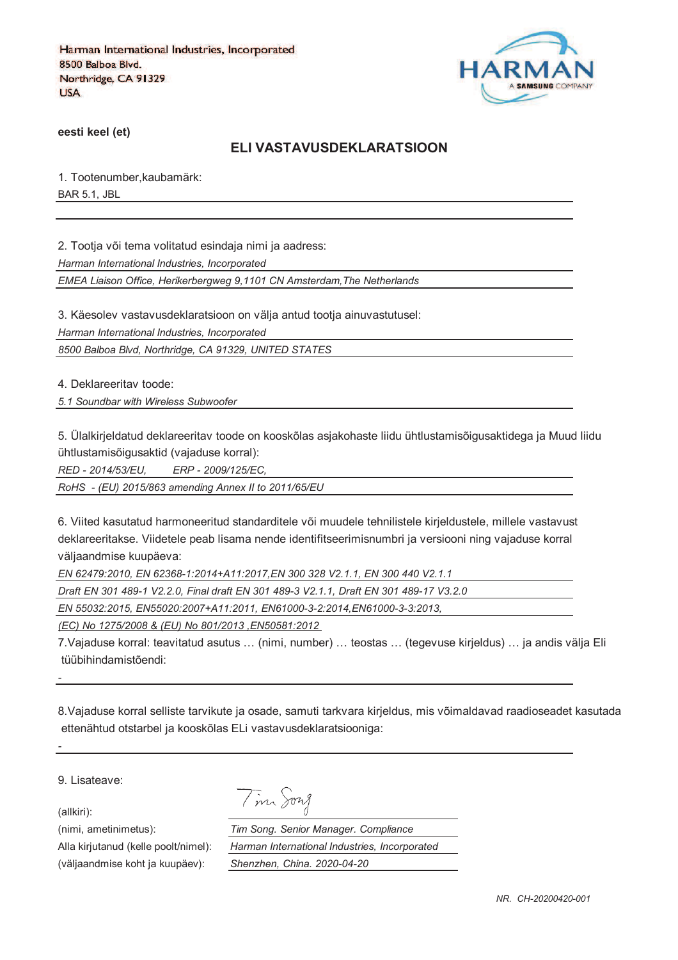

**eesti keel (et)**

#### **ELI VASTAVUSDEKLARATSIOON**

1. Tootenumber,kaubamärk: BAR 5.1, JBL

2. Tootja või tema volitatud esindaja nimi ja aadress:

*Harman International Industries, Incorporated*

*EMEA Liaison Office, Herikerbergweg 9,1101 CN Amsterdam,The Netherlands*

3. Käesolev vastavusdeklaratsioon on välja antud tootja ainuvastutusel:

*Harman International Industries, Incorporated*

*8500 Balboa Blvd, Northridge, CA 91329, UNITED STATES*

4. Deklareeritav toode:

*5.1 Soundbar with Wireless Subwoofer*

5. Ülalkirjeldatud deklareeritav toode on kooskõlas asjakohaste liidu ühtlustamisõigusaktidega ja Muud liidu ühtlustamisõigusaktid (vajaduse korral):

*RED - 2014/53/EU, ERP - 2009/125/EC,*

*RoHS - (EU) 2015/863 amending Annex II to 2011/65/EU*

6. Viited kasutatud harmoneeritud standarditele või muudele tehnilistele kirjeldustele, millele vastavust deklareeritakse. Viidetele peab lisama nende identifitseerimisnumbri ja versiooni ning vajaduse korral väljaandmise kuupäeva:

*EN 62479:2010, EN 62368-1:2014+A11:2017,EN 300 328 V2.1.1, EN 300 440 V2.1.1*

*Draft EN 301 489-1 V2.2.0, Final draft EN 301 489-3 V2.1.1, Draft EN 301 489-17 V3.2.0*

Tim Song

*EN 55032:2015, EN55020:2007+A11:2011, EN61000-3-2:2014,EN61000-3-3:2013,* 

*(EC) No 1275/2008 & (EU) No 801/2013 ,EN50581:2012* 

7.Vajaduse korral: teavitatud asutus … (nimi, number) … teostas … (tegevuse kirjeldus) … ja andis välja Eli tüübihindamistõendi:

8.Vajaduse korral selliste tarvikute ja osade, samuti tarkvara kirjeldus, mis võimaldavad raadioseadet kasutada ettenähtud otstarbel ja kooskõlas ELi vastavusdeklaratsiooniga:

9. Lisateave:

(allkiri):

*-*

*-*

(nimi, ametinimetus): *Tim Song. Senior Manager. Compliance* Alla kirjutanud (kelle poolt/nimel): *Harman International Industries, Incorporated* (väljaandmise koht ja kuupäev): *Shenzhen, China. 2020-04-20*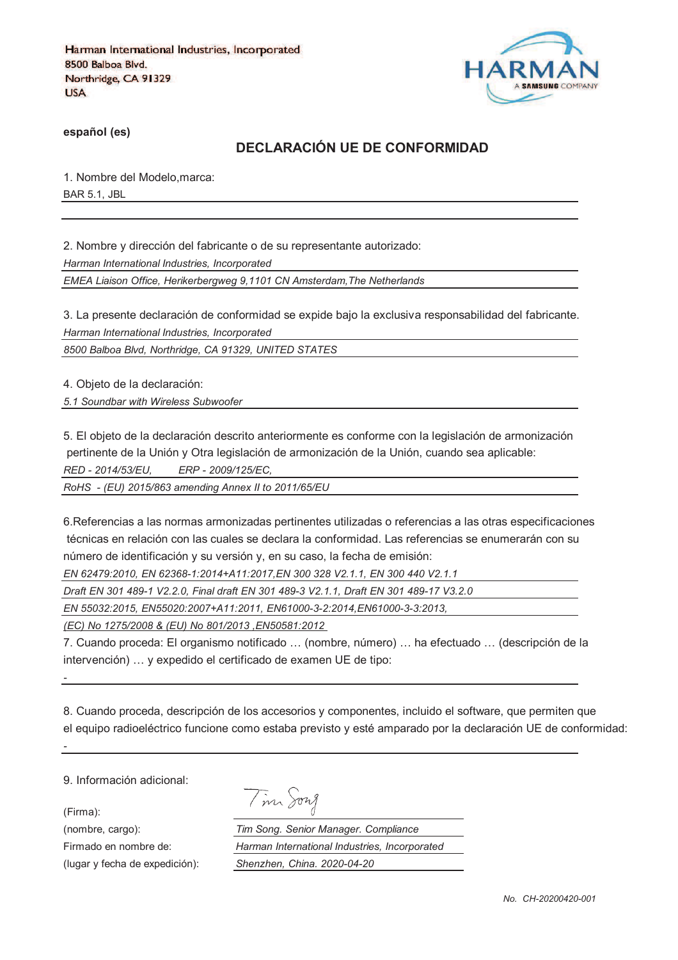

**español (es)**

## **DECLARACIÓN UE DE CONFORMIDAD**

1. Nombre del Modelo,marca: BAR 5.1, JBL

2. Nombre y dirección del fabricante o de su representante autorizado:

*Harman International Industries, Incorporated*

*EMEA Liaison Office, Herikerbergweg 9,1101 CN Amsterdam,The Netherlands*

3. La presente declaración de conformidad se expide bajo la exclusiva responsabilidad del fabricante. *Harman International Industries, Incorporated*

*8500 Balboa Blvd, Northridge, CA 91329, UNITED STATES*

4. Objeto de la declaración:

*5.1 Soundbar with Wireless Subwoofer*

5. El objeto de la declaración descrito anteriormente es conforme con la legislación de armonización pertinente de la Unión y Otra legislación de armonización de la Unión, cuando sea aplicable: *RED - 2014/53/EU, ERP - 2009/125/EC,*

*RoHS - (EU) 2015/863 amending Annex II to 2011/65/EU*

6.Referencias a las normas armonizadas pertinentes utilizadas o referencias a las otras especificaciones técnicas en relación con las cuales se declara la conformidad. Las referencias se enumerarán con su número de identificación y su versión y, en su caso, la fecha de emisión:

*EN 62479:2010, EN 62368-1:2014+A11:2017,EN 300 328 V2.1.1, EN 300 440 V2.1.1*

*Draft EN 301 489-1 V2.2.0, Final draft EN 301 489-3 V2.1.1, Draft EN 301 489-17 V3.2.0*

*EN 55032:2015, EN55020:2007+A11:2011, EN61000-3-2:2014,EN61000-3-3:2013,* 

*(EC) No 1275/2008 & (EU) No 801/2013 ,EN50581:2012* 

7. Cuando proceda: El organismo notificado … (nombre, número) … ha efectuado … (descripción de la intervención) … y expedido el certificado de examen UE de tipo:

8. Cuando proceda, descripción de los accesorios y componentes, incluido el software, que permiten que el equipo radioeléctrico funcione como estaba previsto y esté amparado por la declaración UE de conformidad:

9. Información adicional:

(Firma):

*-*

*-*

|  | ヤップ |
|--|-----|
|--|-----|

(nombre, cargo): *Tim Song. Senior Manager. Compliance* Firmado en nombre de: *Harman International Industries, Incorporated* (lugar y fecha de expedición): *Shenzhen, China. 2020-04-20*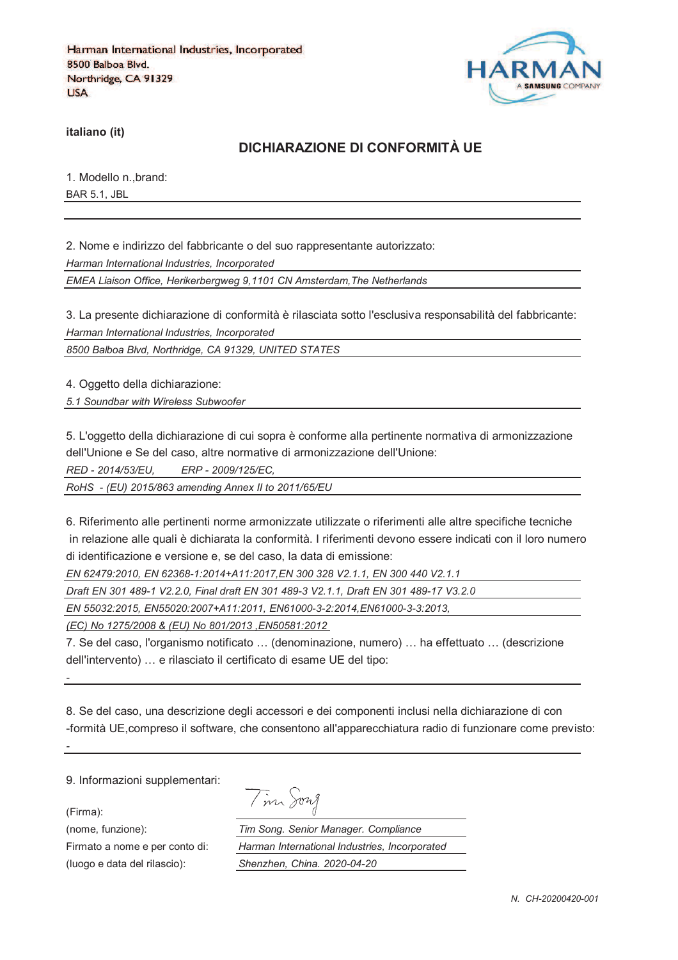

**italiano (it)**

## **DICHIARAZIONE DI CONFORMITÀ UE**

1. Modello n.,brand: BAR 5.1, JBL

2. Nome e indirizzo del fabbricante o del suo rappresentante autorizzato:

*Harman International Industries, Incorporated*

*EMEA Liaison Office, Herikerbergweg 9,1101 CN Amsterdam,The Netherlands*

3. La presente dichiarazione di conformità è rilasciata sotto l'esclusiva responsabilità del fabbricante: *Harman International Industries, Incorporated*

*8500 Balboa Blvd, Northridge, CA 91329, UNITED STATES*

4. Oggetto della dichiarazione:

*5.1 Soundbar with Wireless Subwoofer*

5. L'oggetto della dichiarazione di cui sopra è conforme alla pertinente normativa di armonizzazione dell'Unione e Se del caso, altre normative di armonizzazione dell'Unione:

*RED - 2014/53/EU, ERP - 2009/125/EC,*

*RoHS - (EU) 2015/863 amending Annex II to 2011/65/EU*

6. Riferimento alle pertinenti norme armonizzate utilizzate o riferimenti alle altre specifiche tecniche in relazione alle quali è dichiarata la conformità. I riferimenti devono essere indicati con il loro numero di identificazione e versione e, se del caso, la data di emissione:

*EN 62479:2010, EN 62368-1:2014+A11:2017,EN 300 328 V2.1.1, EN 300 440 V2.1.1*

*Draft EN 301 489-1 V2.2.0, Final draft EN 301 489-3 V2.1.1, Draft EN 301 489-17 V3.2.0*

*EN 55032:2015, EN55020:2007+A11:2011, EN61000-3-2:2014,EN61000-3-3:2013,* 

*(EC) No 1275/2008 & (EU) No 801/2013 ,EN50581:2012* 

7. Se del caso, l'organismo notificato … (denominazione, numero) … ha effettuato … (descrizione dell'intervento) … e rilasciato il certificato di esame UE del tipo:

8. Se del caso, una descrizione degli accessori e dei componenti inclusi nella dichiarazione di con -formità UE,compreso il software, che consentono all'apparecchiatura radio di funzionare come previsto:

9. Informazioni supplementari:

(Firma):

*-*

*-*

|  |  | $\overline{\phantom{0}}$ | 1921 A |
|--|--|--------------------------|--------|
|--|--|--------------------------|--------|

(nome, funzione): *Tim Song. Senior Manager. Compliance* Firmato a nome e per conto di: *Harman International Industries, Incorporated* (luogo e data del rilascio): *Shenzhen, China. 2020-04-20*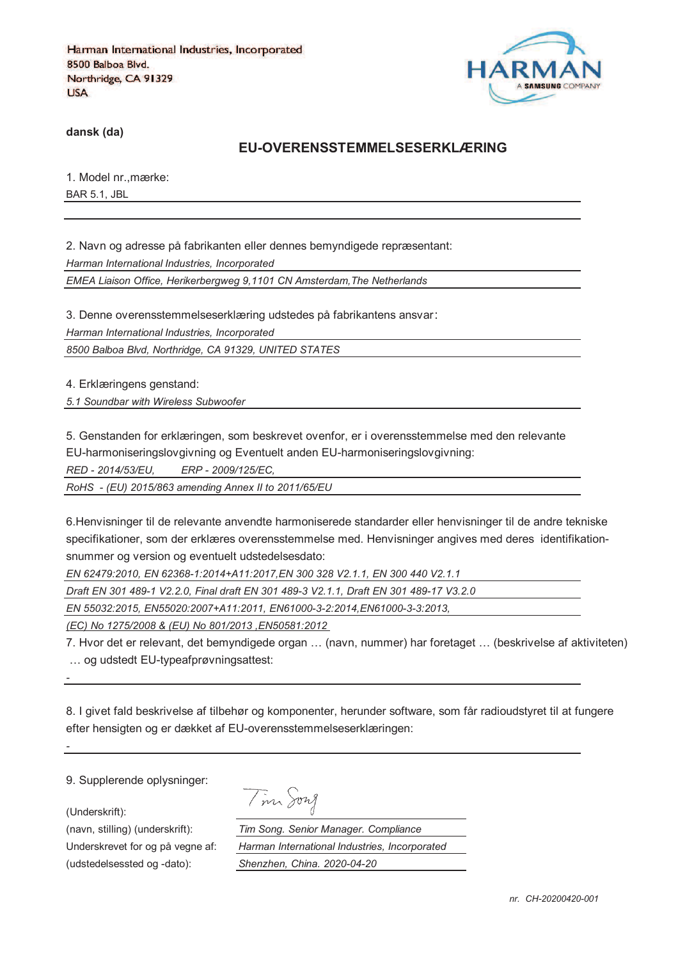

**dansk (da)**

#### **EU-OVERENSSTEMMELSESERKLÆRING**

1. Model nr.,mærke: BAR 5.1, JBL

2. Navn og adresse på fabrikanten eller dennes bemyndigede repræsentant: *Harman International Industries, Incorporated EMEA Liaison Office, Herikerbergweg 9,1101 CN Amsterdam,The Netherlands*

3. Denne overensstemmelseserklæring udstedes på fabrikantens ansvar *Harman International Industries, Incorporated*

*8500 Balboa Blvd, Northridge, CA 91329, UNITED STATES*

4. Erklæringens genstand:

*5.1 Soundbar with Wireless Subwoofer*

5. Genstanden for erklæringen, som beskrevet ovenfor, er i overensstemmelse med den relevante

EU-harmoniseringslovgivning og Eventuelt anden EU-harmoniseringslovgivning:

*RED - 2014/53/EU, ERP - 2009/125/EC,*

*RoHS - (EU) 2015/863 amending Annex II to 2011/65/EU*

6.Henvisninger til de relevante anvendte harmoniserede standarder eller henvisninger til de andre tekniske specifikationer, som der erklæres overensstemmelse med. Henvisninger angives med deres identifikationsnummer og version og eventuelt udstedelsesdato:

*EN 62479:2010, EN 62368-1:2014+A11:2017,EN 300 328 V2.1.1, EN 300 440 V2.1.1*

*Draft EN 301 489-1 V2.2.0, Final draft EN 301 489-3 V2.1.1, Draft EN 301 489-17 V3.2.0*

*EN 55032:2015, EN55020:2007+A11:2011, EN61000-3-2:2014,EN61000-3-3:2013,* 

*(EC) No 1275/2008 & (EU) No 801/2013 ,EN50581:2012* 

7. Hvor det er relevant, det bemyndigede organ … (navn, nummer) har foretaget … (beskrivelse af aktiviteten) … og udstedt EU-typeafprøvningsattest:

8. I givet fald beskrivelse af tilbehør og komponenter, herunder software, som får radioudstyret til at fungere efter hensigten og er dækket af EU-overensstemmelseserklæringen:

9. Supplerende oplysninger:

(Underskrift):

*-*

*-*

(udstedelsessted og -dato): *Shenzhen, China. 2020-04-20*

Tim Song

(navn, stilling) (underskrift): *Tim Song. Senior Manager. Compliance* Underskrevet for og på vegne af: *Harman International Industries, Incorporated*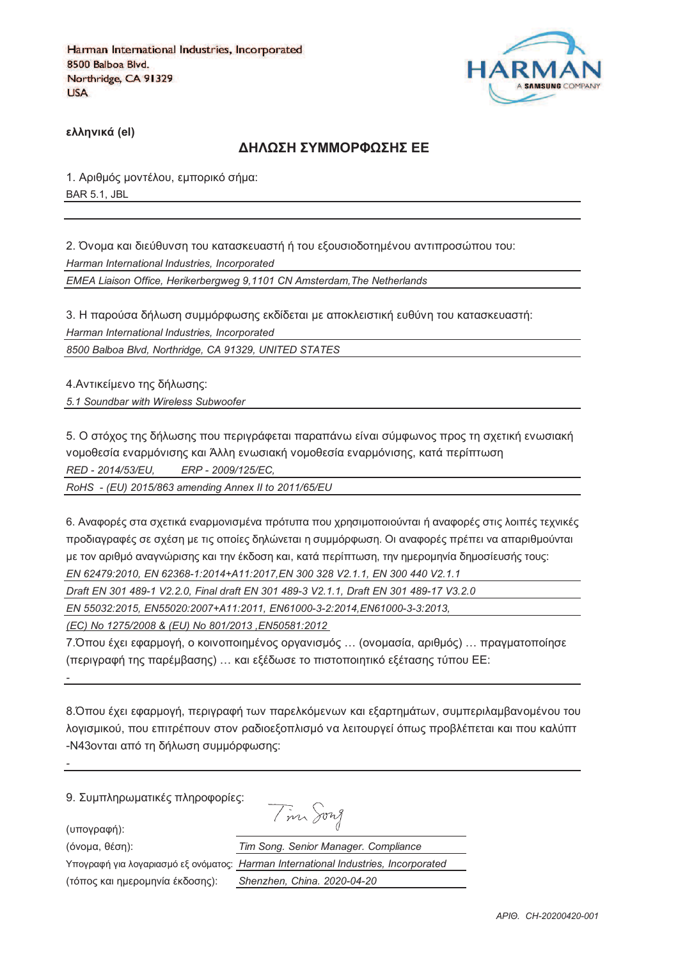

**)\*\*+,-./ (el)**

#### **ΔΗΛΟΣΗ ΣΥΜΜΟΡΦΟΣΗΣ ΕΕ**

1. Αριθμός μοντέλου, εμπορικό σήμα: BAR 5.1, JBL

2. Όνομα και διεύθυνση του κατασκευαστή ή του εξουσιοδοτημένου αντιπροσώπου του: *Harman International Industries, Incorporated EMEA Liaison Office, Herikerbergweg 9,1101 CN Amsterdam,The Netherlands*

3. Η παρούσα δήλωση συμμόρφωσης εκδίδεται με αποκλειστική ευθύνη του κατασκευαστή: *Harman International Industries, Incorporated*

*8500 Balboa Blvd, Northridge, CA 91329, UNITED STATES*

4. Αντικείμενο της δήλωσης:

*5.1 Soundbar with Wireless Subwoofer*

5. Ο στόχος της δήλωσης που περιγράφεται παραπάνω είναι σύμφωνος προς τη σχετική ενωσιακή νομοθεσία εναρμόνισης και Άλλη ενωσιακή νομοθεσία εναρμόνισης, κατά περίπτωση *RED - 2014/53/EU, ERP - 2009/125/EC,*

*RoHS - (EU) 2015/863 amending Annex II to 2011/65/EU*

6. Αναφορές στα σχετικά εναρμονισμένα πρότυπα που χρησιμοποιούνται ή αναφορές στις λοιπές τεχνικές προδιαγραφές σε σχέση με τις οποίες δηλώνεται η συμμόρφωση. Οι αναφορές πρέπει να απαριθμούνται με τον αριθμό αναννώρισης και την έκδοση και, κατά περίπτωση, την ημερομηνία δημοσίευσής τους; *EN 62479:2010, EN 62368-1:2014+A11:2017,EN 300 328 V2.1.1, EN 300 440 V2.1.1*

*Draft EN 301 489-1 V2.2.0, Final draft EN 301 489-3 V2.1.1, Draft EN 301 489-17 V3.2.0*

*EN 55032:2015, EN55020:2007+A11:2011, EN61000-3-2:2014,EN61000-3-3:2013,* 

*(EC) No 1275/2008 & (EU) No 801/2013 ,EN50581:2012* 

7.Όπου έχει εφαρμογή, ο κοινοποιημένος οργανισμός ... (ονομασία, αριθμός) ... πραγματοποίησε (περιγραφή της παρέμβασης) ... και εξέδωσε το πιστοποιητικό εξέτασης τύπου ΕΕ:

8. Όπου έχει εφαρμογή, περιγραφή των παρελκόμενων και εξαρτημάτων, συμπεριλαμβανομένου του λογισμικού, που επιτρέπουν στον ραδιοεξοπλισμό να λειτουργεί όπως προβλέπεται και που καλύπτ -N43ονται από τη δήλωση συμμόρφωσης:

 $\overline{I}$  on  $\Omega$ 

9. Συμπληρωματικές πληροφορίες:

(υπογραφή):

*-*

*-*

(3652@, 18>D): *Tim Song. Senior Manager. Compliance*

Υπογραφή για λογαριασμό εξ ονόματος:

(τόπος και ημερομηνία έκδοσης):

| $\sim$                                        |
|-----------------------------------------------|
| Tim Song. Senior Manager. Compliance          |
| Harman International Industries, Incorporated |
| Shenzhen, China, 2020-04-20                   |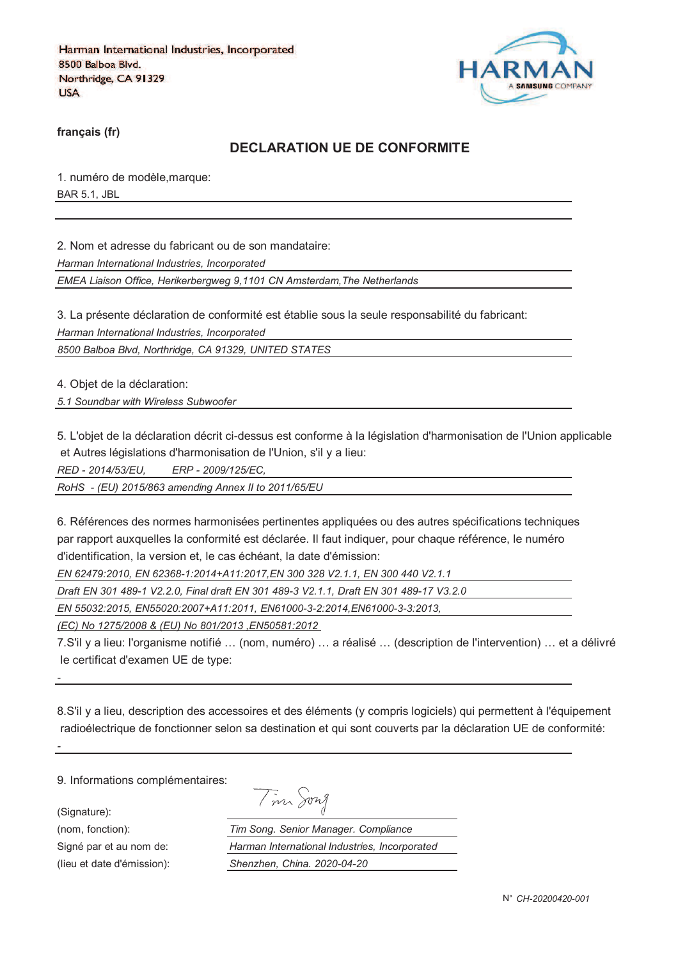

**français (fr)**

## **DECLARATION UE DE CONFORMITE**

1. numéro de modèle,marque: BAR 5.1, JBL

2. Nom et adresse du fabricant ou de son mandataire:

*Harman International Industries, Incorporated*

*EMEA Liaison Office, Herikerbergweg 9,1101 CN Amsterdam,The Netherlands*

3. La présente déclaration de conformité est établie sous la seule responsabilité du fabricant:

*Harman International Industries, Incorporated*

*8500 Balboa Blvd, Northridge, CA 91329, UNITED STATES*

4. Objet de la déclaration:

*5.1 Soundbar with Wireless Subwoofer*

5. L'objet de la déclaration décrit ci-dessus est conforme à la législation d'harmonisation de l'Union applicable et Autres législations d'harmonisation de l'Union, s'il y a lieu:

*RED - 2014/53/EU, ERP - 2009/125/EC,*

*RoHS - (EU) 2015/863 amending Annex II to 2011/65/EU*

6. Références des normes harmonisées pertinentes appliquées ou des autres spécifications techniques par rapport auxquelles la conformité est déclarée. Il faut indiquer, pour chaque référence, le numéro d'identification, la version et, le cas échéant, la date d'émission:

*EN 62479:2010, EN 62368-1:2014+A11:2017,EN 300 328 V2.1.1, EN 300 440 V2.1.1*

*Draft EN 301 489-1 V2.2.0, Final draft EN 301 489-3 V2.1.1, Draft EN 301 489-17 V3.2.0*

*EN 55032:2015, EN55020:2007+A11:2011, EN61000-3-2:2014,EN61000-3-3:2013,* 

*(EC) No 1275/2008 & (EU) No 801/2013 ,EN50581:2012* 

7.S'il y a lieu: l'organisme notifié … (nom, numéro) … a réalisé … (description de l'intervention) … et a délivré le certificat d'examen UE de type:

8.S'il y a lieu, description des accessoires et des éléments (y compris logiciels) qui permettent à l'équipement radioélectrique de fonctionner selon sa destination et qui sont couverts par la déclaration UE de conformité:

9. Informations complémentaires:

(Signature):

*-*

*-*

| $m_A$ | vn I |
|-------|------|
|       |      |

(nom, fonction): *Tim Song. Senior Manager. Compliance* Signé par et au nom de: *Harman International Industries, Incorporated* (lieu et date d'émission): *Shenzhen, China. 2020-04-20*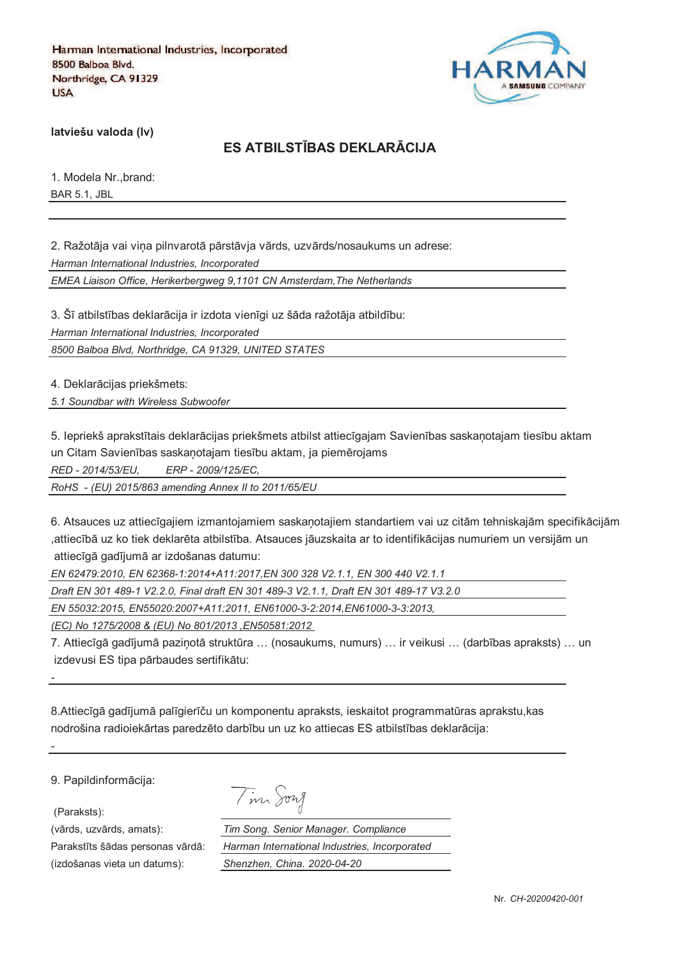

**latviešu valoda (lv)**

# **ES ATBILSTJBAS DEKLARKCIJA**

1. Modela Nr.,brand: BAR 5.1, JBL

2. Ražotāja vai vina pilnvarotā pārstāvja vārds, uzvārds/nosaukums un adrese:

*Harman International Industries, Incorporated*

*EMEA Liaison Office, Herikerbergweg 9,1101 CN Amsterdam,The Netherlands*

3. Šī atbilstības deklarācija ir izdota vienīgi uz šāda ražotāja atbildību: *Harman International Industries, Incorporated*

*8500 Balboa Blvd, Northridge, CA 91329, UNITED STATES*

4. Deklarācijas priekšmets:

*5.1 Soundbar with Wireless Subwoofer*

5. Iepriekš aprakstītais deklarācijas priekšmets atbilst attiecīgajam Savienības saskanotajam tiesību aktam un Citam Savienības saskaņotajam tiesību aktam, ja piemērojams

*RED - 2014/53/EU, ERP - 2009/125/EC,*

*RoHS - (EU) 2015/863 amending Annex II to 2011/65/EU*

6. Atsauces uz attiecīgajiem izmantojamiem saskanotajiem standartiem vai uz citām tehniskajām specifikācijām ,attiecībā uz ko tiek deklarēta atbilstība. Atsauces jāuzskaita ar to identifikācijas numuriem un versijām un attiecīgā gadījumā ar izdošanas datumu:

*EN 62479:2010, EN 62368-1:2014+A11:2017,EN 300 328 V2.1.1, EN 300 440 V2.1.1*

*Draft EN 301 489-1 V2.2.0, Final draft EN 301 489-3 V2.1.1, Draft EN 301 489-17 V3.2.0*

*EN 55032:2015, EN55020:2007+A11:2011, EN61000-3-2:2014,EN61000-3-3:2013,* 

*(EC) No 1275/2008 & (EU) No 801/2013 ,EN50581:2012* 

7. Attiecīgā gadījumā pazinotā struktūra ... (nosaukums, numurs) ... ir veikusi ... (darbības apraksts) ... un izdevusi ES tipa pārbaudes sertifikātu:

8.Attiecīgā gadījumā palīgierīču un komponentu apraksts, ieskaitot programmatūras aprakstu, kas nodrošina radioiekārtas paredzēto darbību un uz ko attiecas ES atbilstības deklarācija:

9. Papildinformācija:

(Paraksts):

*-*

*-*

(izdošanas vieta un datums): *Shenzhen, China. 2020-04-20*

| $\overline{\phantom{0}}$ | 1921 A |
|--------------------------|--------|
|--------------------------|--------|

(vārds, uzvārds, amats): *Tim Song. Senior Manager. Compliance* Parakstīts šādas personas vārdā: *Harman International Industries, Incorporated*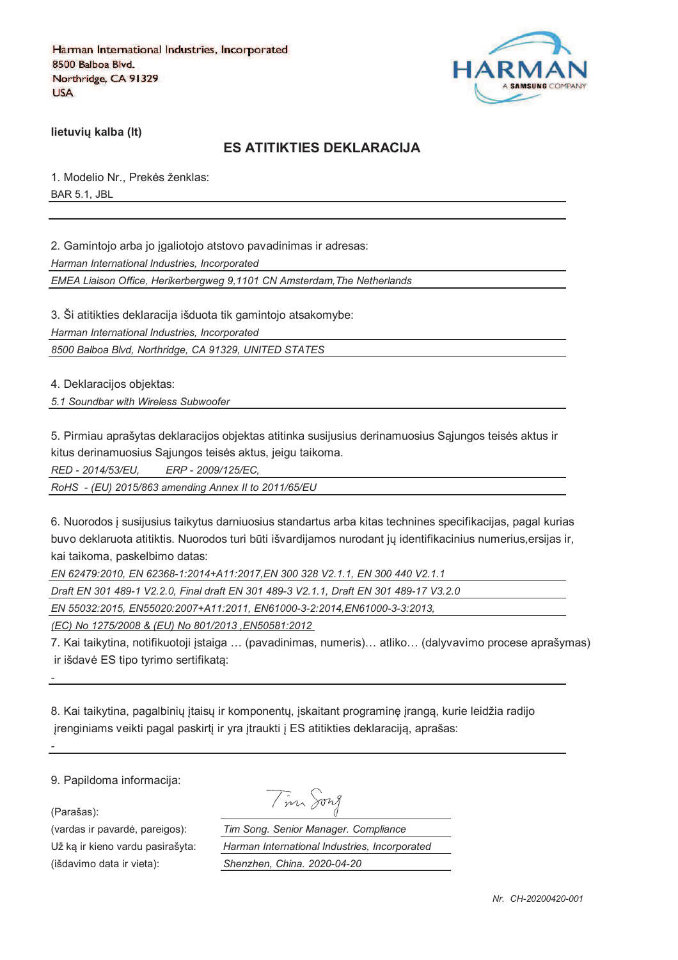

**lietuviu kalba (It)** 

### **ES ATITIKTIES DEKLARACIJA**

1. Modelio Nr., Prekės ženklas: BAR 5.1, JBL

2. Gamintojo arba jo igaliotojo atstovo pavadinimas ir adresas:

*Harman International Industries, Incorporated*

*EMEA Liaison Office, Herikerbergweg 9,1101 CN Amsterdam,The Netherlands*

3. Ši atitikties deklaracija išduota tik gamintojo atsakomybe:

*Harman International Industries, Incorporated*

*8500 Balboa Blvd, Northridge, CA 91329, UNITED STATES*

4. Deklaracijos objektas:

*5.1 Soundbar with Wireless Subwoofer*

5. Pirmiau aprašytas deklaracijos objektas atitinka susijusius derinamuosius Sajungos teisės aktus ir kitus derinamuosius Sąjungos teisės aktus, jeigu taikoma.

*RED - 2014/53/EU, ERP - 2009/125/EC,*

*RoHS - (EU) 2015/863 amending Annex II to 2011/65/EU*

6. Nuorodos ` susijusius taikytus darniuosius standartus arba kitas technines specifikacijas, pagal kurias buvo deklaruota atitiktis. Nuorodos turi būti išvardijamos nurodant jų identifikacinius numerius,ersijas ir, kai taikoma, paskelbimo datas:

*EN 62479:2010, EN 62368-1:2014+A11:2017,EN 300 328 V2.1.1, EN 300 440 V2.1.1*

*Draft EN 301 489-1 V2.2.0, Final draft EN 301 489-3 V2.1.1, Draft EN 301 489-17 V3.2.0*

*EN 55032:2015, EN55020:2007+A11:2011, EN61000-3-2:2014,EN61000-3-3:2013,* 

*(EC) No 1275/2008 & (EU) No 801/2013 ,EN50581:2012* 

7. Kai taikytina, notifikuotoji `staiga … (pavadinimas, numeris)… atliko… (dalyvavimo procese aprašymas) ir išdavė ES tipo tyrimo sertifikata:

8. Kai taikytina, pagalbinių įtaisų ir komponentų, įskaitant programinę įrangą, kurie leidžia radijo jrenginiams veikti pagal paskirtį ir yra įtraukti į ES atitikties deklaraciją, aprašas:

9. Papildoma informacija:

(Parašas):

*-*

*-*

(vardas ir pavardė, pareigos): *T.*<br>Už ką ir kieno vardu pasirašyta: *H* Už ka ir kieno vardu pasirašyta: *Harman International Industries, Incorporated* (išdavimo data ir vieta): *Shenzhen, China. 2020-04-20*

| a. Senior Manager. Co |  |
|-----------------------|--|

| im Song. Senior Manager. Compliance           |
|-----------------------------------------------|
| larman International Industries, Incorporated |
| henzhen, China. 2020-04-20                    |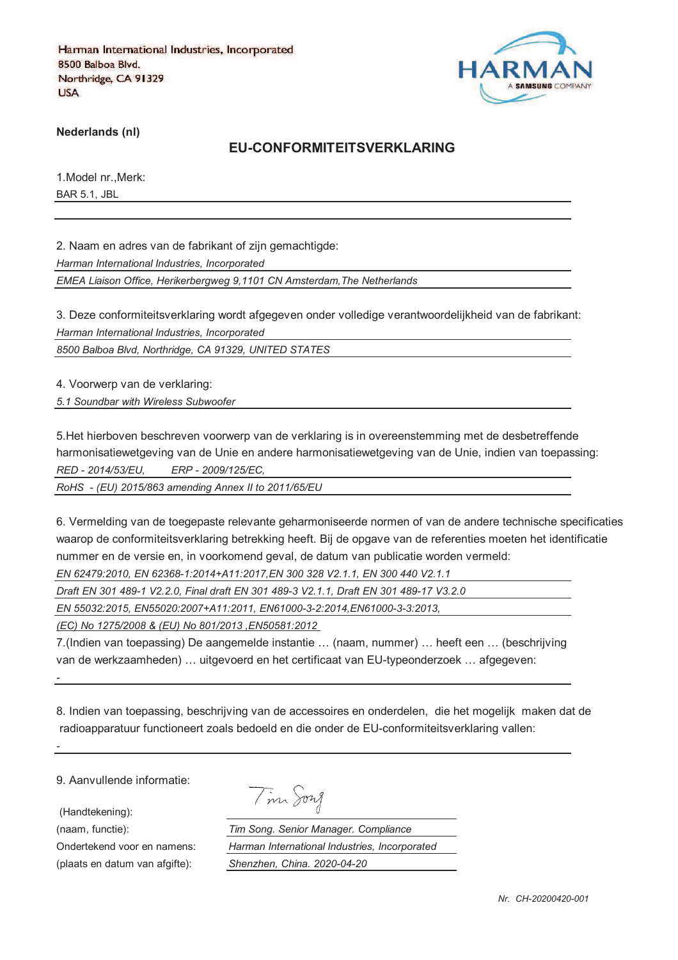

**Nederlands (nl)**

#### **EU-CONFORMITEITSVERKLARING**

1.Model nr.,Merk: BAR 5.1, JBL

2. Naam en adres van de fabrikant of zijn gemachtigde:

*Harman International Industries, Incorporated*

*EMEA Liaison Office, Herikerbergweg 9,1101 CN Amsterdam,The Netherlands*

3. Deze conformiteitsverklaring wordt afgegeven onder volledige verantwoordelijkheid van de fabrikant: *Harman International Industries, Incorporated*

*8500 Balboa Blvd, Northridge, CA 91329, UNITED STATES*

4. Voorwerp van de verklaring:

*5.1 Soundbar with Wireless Subwoofer*

5.Het hierboven beschreven voorwerp van de verklaring is in overeenstemming met de desbetreffende harmonisatiewetgeving van de Unie en andere harmonisatiewetgeving van de Unie, indien van toepassing: *RED - 2014/53/EU, ERP - 2009/125/EC,*

*RoHS - (EU) 2015/863 amending Annex II to 2011/65/EU*

6. Vermelding van de toegepaste relevante geharmoniseerde normen of van de andere technische specificaties waarop de conformiteitsverklaring betrekking heeft. Bij de opgave van de referenties moeten het identificatie nummer en de versie en, in voorkomend geval, de datum van publicatie worden vermeld:

*EN 62479:2010, EN 62368-1:2014+A11:2017,EN 300 328 V2.1.1, EN 300 440 V2.1.1*

*Draft EN 301 489-1 V2.2.0, Final draft EN 301 489-3 V2.1.1, Draft EN 301 489-17 V3.2.0*

*EN 55032:2015, EN55020:2007+A11:2011, EN61000-3-2:2014,EN61000-3-3:2013,* 

*(EC) No 1275/2008 & (EU) No 801/2013 ,EN50581:2012* 

7.(Indien van toepassing) De aangemelde instantie … (naam, nummer) … heeft een … (beschrijving van de werkzaamheden) … uitgevoerd en het certificaat van EU-typeonderzoek … afgegeven:

8. Indien van toepassing, beschrijving van de accessoires en onderdelen, die het mogelijk maken dat de radioapparatuur functioneert zoals bedoeld en die onder de EU-conformiteitsverklaring vallen:

9. Aanvullende informatie:

(Handtekening):

*-*

*-*

(plaats en datum van afgifte): *Shenzhen, China. 2020-04-20*

Tim Song

(naam, functie): *Tim Song. Senior Manager. Compliance* Ondertekend voor en namens: *Harman International Industries, Incorporated*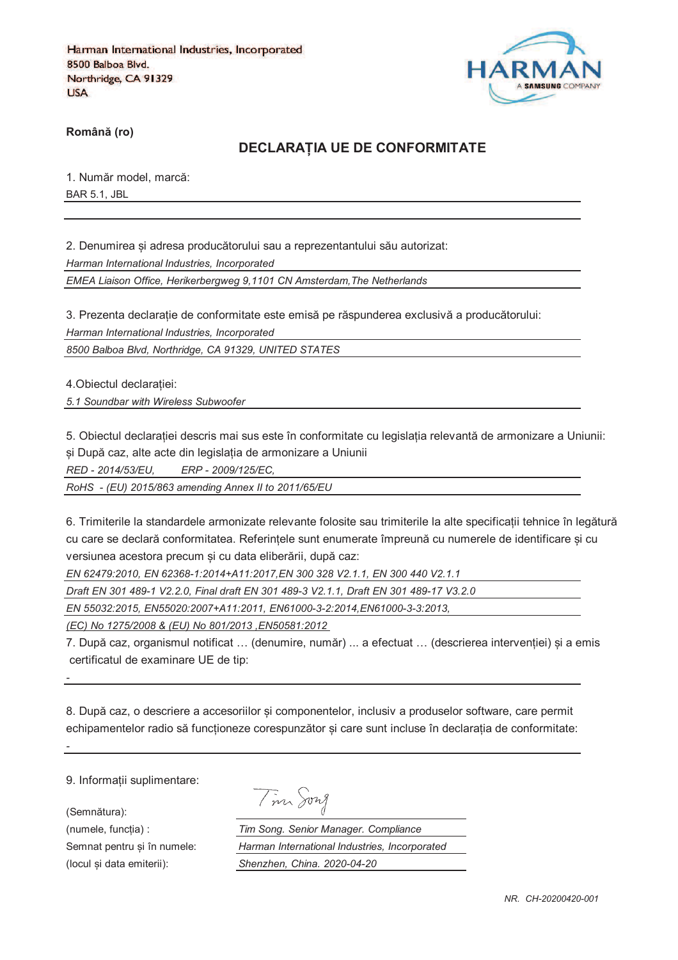

**RomânO (ro)**

#### **DECLARAPIA UE DE CONFORMITATE**

1. Număr model, marcă: BAR 5.1, JBL

2. Denumirea si adresa producătorului sau a reprezentantului său autorizat:

*Harman International Industries, Incorporated*

*EMEA Liaison Office, Herikerbergweg 9,1101 CN Amsterdam,The Netherlands*

3. Prezenta declarație de conformitate este emisă pe răspunderea exclusivă a producătorului:

*Harman International Industries, Incorporated*

*8500 Balboa Blvd, Northridge, CA 91329, UNITED STATES*

4. Obiectul declaratiei:

*5.1 Soundbar with Wireless Subwoofer*

5. Obiectul declaratiei descris mai sus este în conformitate cu legislatia relevantă de armonizare a Uniunii: si După caz, alte acte din legislația de armonizare a Uniunii

*RED - 2014/53/EU, ERP - 2009/125/EC,*

*RoHS - (EU) 2015/863 amending Annex II to 2011/65/EU*

6. Trimiterile la standardele armonizate relevante folosite sau trimiterile la alte specificatii tehnice în legătură cu care se declară conformitatea. Referintele sunt enumerate împreună cu numerele de identificare si cu versiunea acestora precum si cu data eliberării, după caz:

*EN 62479:2010, EN 62368-1:2014+A11:2017,EN 300 328 V2.1.1, EN 300 440 V2.1.1*

*Draft EN 301 489-1 V2.2.0, Final draft EN 301 489-3 V2.1.1, Draft EN 301 489-17 V3.2.0*

*EN 55032:2015, EN55020:2007+A11:2011, EN61000-3-2:2014,EN61000-3-3:2013,* 

*(EC) No 1275/2008 & (EU) No 801/2013 ,EN50581:2012* 

7. După caz, organismul notificat ... (denumire, număr) ... a efectuat ... (descrierea interventiei) si a emis certificatul de examinare UE de tip:

8. După caz, o descriere a accesoriilor si componentelor, inclusiv a produselor software, care permit echipamentelor radio să funcționeze corespunzător și care sunt incluse în declarația de conformitate:

9. Informatii suplimentare:

(Semnătura):

*-*

*-*

Tim Song

(numele, funcgia) : *Tim Song. Senior Manager. Compliance* Semnat pentru si în numele: *Harman International Industries, Incorporated* (locul fi data emiterii): *Shenzhen, China. 2020-04-20*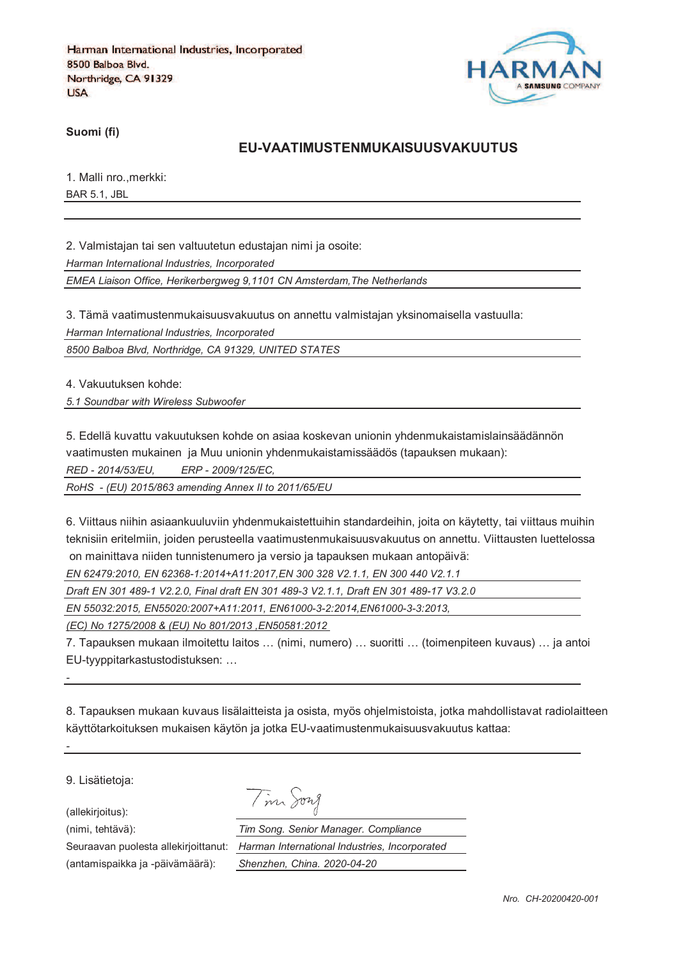

**Suomi (fi)**

#### **EU-VAATIMUSTENMUKAISUUSVAKUUTUS**

1. Malli nro.,merkki: BAR 5.1, JBL

2. Valmistajan tai sen valtuutetun edustajan nimi ja osoite:

*Harman International Industries, Incorporated*

*EMEA Liaison Office, Herikerbergweg 9,1101 CN Amsterdam,The Netherlands*

3. Tämä vaatimustenmukaisuusvakuutus on annettu valmistajan yksinomaisella vastuulla:

*Harman International Industries, Incorporated*

*8500 Balboa Blvd, Northridge, CA 91329, UNITED STATES*

4. Vakuutuksen kohde:

*5.1 Soundbar with Wireless Subwoofer*

5. Edellä kuvattu vakuutuksen kohde on asiaa koskevan unionin yhdenmukaistamislainsäädännön

vaatimusten mukainen ja Muu unionin yhdenmukaistamissäädös (tapauksen mukaan):

*RED - 2014/53/EU, ERP - 2009/125/EC,*

*RoHS - (EU) 2015/863 amending Annex II to 2011/65/EU*

6. Viittaus niihin asiaankuuluviin yhdenmukaistettuihin standardeihin, joita on käytetty, tai viittaus muihin teknisiin eritelmiin, joiden perusteella vaatimustenmukaisuusvakuutus on annettu. Viittausten luettelossa on mainittava niiden tunnistenumero ja versio ja tapauksen mukaan antopäivä:

*EN 62479:2010, EN 62368-1:2014+A11:2017,EN 300 328 V2.1.1, EN 300 440 V2.1.1*

*Draft EN 301 489-1 V2.2.0, Final draft EN 301 489-3 V2.1.1, Draft EN 301 489-17 V3.2.0*

*EN 55032:2015, EN55020:2007+A11:2011, EN61000-3-2:2014,EN61000-3-3:2013,* 

*(EC) No 1275/2008 & (EU) No 801/2013 ,EN50581:2012* 

7. Tapauksen mukaan ilmoitettu laitos … (nimi, numero) … suoritti … (toimenpiteen kuvaus) … ja antoi EU-tyyppitarkastustodistuksen: …

8. Tapauksen mukaan kuvaus lisälaitteista ja osista, myös ohjelmistoista, jotka mahdollistavat radiolaitteen käyttötarkoituksen mukaisen käytön ja jotka EU-vaatimustenmukaisuusvakuutus kattaa:

9. Lisätietoja:

*-*

*-*

(allekirjoitus):

Tim Song

(nimi, tehtävä): *Tim Song. Senior Manager. Compliance* Seuraavan puolesta allekirjoittanut: *Harman International Industries, Incorporated* (antamispaikka ja -päivämäärä): *Shenzhen, China. 2020-04-20*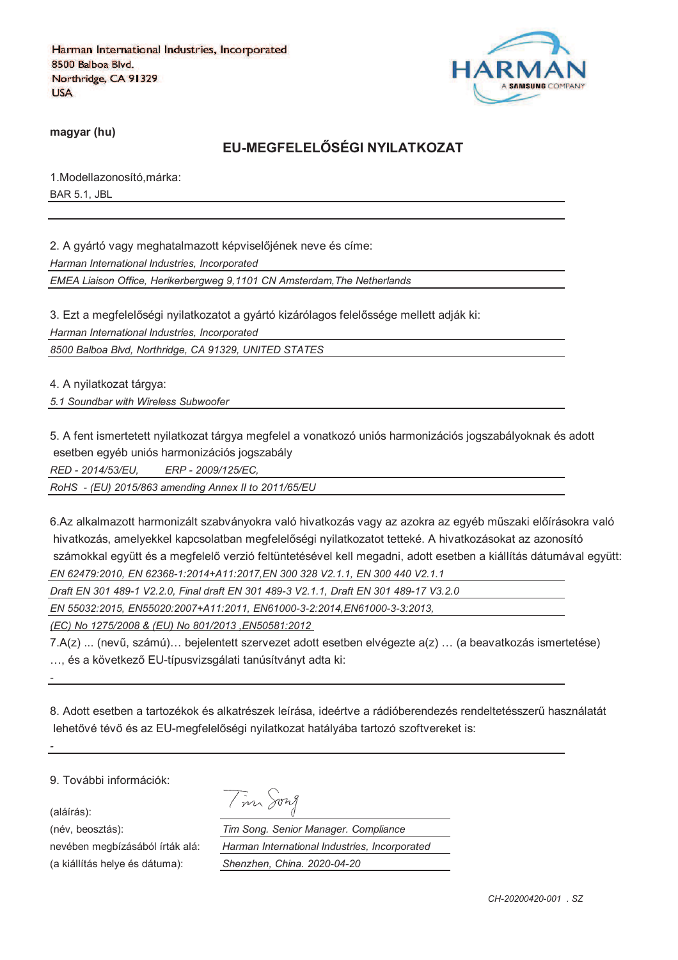

**magyar (hu)**

# **EU-MEGFELELRSÉGI NYILATKOZAT**

1.Modellazonosító,márka: BAR 5.1, JBL

2. A gyártó vagy meghatalmazott képviselőjének neve és címe:

*Harman International Industries, Incorporated*

*EMEA Liaison Office, Herikerbergweg 9,1101 CN Amsterdam,The Netherlands*

3. Ezt a megfelelőségi nyilatkozatot a gyártó kizárólagos felelőssége mellett adják ki:

*Harman International Industries, Incorporated*

*8500 Balboa Blvd, Northridge, CA 91329, UNITED STATES*

4. A nyilatkozat tárgya:

*5.1 Soundbar with Wireless Subwoofer*

5. A fent ismertetett nyilatkozat tárgya megfelel a vonatkozó uniós harmonizációs jogszabályoknak és adott esetben egyéb uniós harmonizációs jogszabály

*RED - 2014/53/EU, ERP - 2009/125/EC,*

*RoHS - (EU) 2015/863 amending Annex II to 2011/65/EU*

6.Az alkalmazott harmonizált szabványokra való hivatkozás vagy az azokra az egyéb műszaki előírásokra való hivatkozás, amelyekkel kapcsolatban megfelelőségi nyilatkozatot tetteké. A hivatkozásokat az azonosító számokkal együtt és a megfelelő verzió feltüntetésével kell megadni, adott esetben a kiállítás dátumával együtt: *EN 62479:2010, EN 62368-1:2014+A11:2017,EN 300 328 V2.1.1, EN 300 440 V2.1.1*

*Draft EN 301 489-1 V2.2.0, Final draft EN 301 489-3 V2.1.1, Draft EN 301 489-17 V3.2.0*

*EN 55032:2015, EN55020:2007+A11:2011, EN61000-3-2:2014,EN61000-3-3:2013,* 

*(EC) No 1275/2008 & (EU) No 801/2013 ,EN50581:2012* 

7.A(z) ... (nevi, számú)… bejelentett szervezet adott esetben elvégezte a(z) … (a beavatkozás ismertetése) ... és a következő EU-típusvizsgálati tanúsítványt adta ki:

8. Adott esetben a tartozékok és alkatrészek leírása, ideértve a rádióberendezés rendeltetésszeri használatát lehetővé tévő és az EU-megfelelőségi nyilatkozat hatályába tartozó szoftvereket is:

9. További információk:

(aláírás):

*-*

*-*

(a kiállítás helye és dátuma): *Shenzhen, China. 2020-04-20*

| 47.7 |
|------|
|------|

(név, beosztás): *Tim Song. Senior Manager. Compliance* nevében megbízásából írták alá: *Harman International Industries, Incorporated*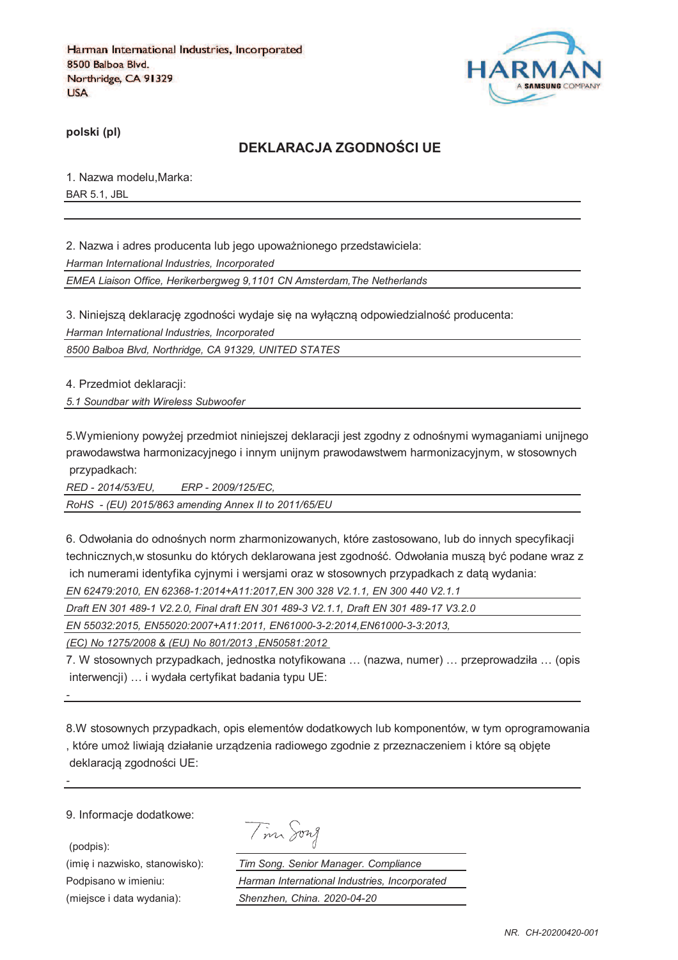

**polski (pl)**

## **DEKLARACJA ZGODNOTCI UE**

1. Nazwa modelu,Marka: BAR 5.1, JBL

2. Nazwa i adres producenta lub jego upoważnionego przedstawiciela: *Harman International Industries, Incorporated*

*EMEA Liaison Office, Herikerbergweg 9,1101 CN Amsterdam,The Netherlands*

3. Niniejszą deklarację zgodności wydaje się na wyłączną odpowiedzialność producenta: *Harman International Industries, Incorporated*

*8500 Balboa Blvd, Northridge, CA 91329, UNITED STATES*

4. Przedmiot deklaracji:

*5.1 Soundbar with Wireless Subwoofer*

5.Wymieniony powyżej przedmiot niniejszej deklaracji jest zgodny z odnośnymi wymaganiami unijnego prawodawstwa harmonizacyjnego i innym unijnym prawodawstwem harmonizacyjnym, w stosownych przypadkach:

*RED - 2014/53/EU, ERP - 2009/125/EC,*

*RoHS - (EU) 2015/863 amending Annex II to 2011/65/EU*

6. Odwołania do odnośnych norm zharmonizowanych, które zastosowano, lub do innych specyfikacji technicznych,w stosunku do których deklarowana jest zgodność. Odwołania musza być podane wraz z ich numerami identyfika cyjnymi i wersjami oraz w stosownych przypadkach z data wydania: *EN 62479:2010, EN 62368-1:2014+A11:2017,EN 300 328 V2.1.1, EN 300 440 V2.1.1*

*Draft EN 301 489-1 V2.2.0, Final draft EN 301 489-3 V2.1.1, Draft EN 301 489-17 V3.2.0*

*EN 55032:2015, EN55020:2007+A11:2011, EN61000-3-2:2014,EN61000-3-3:2013,* 

*(EC) No 1275/2008 & (EU) No 801/2013 ,EN50581:2012* 

7. W stosownych przypadkach, jednostka notyfikowana … (nazwa, numer) … przeprowadziła … (opis interwencji) … i wydała certyfikat badania typu UE:

8.W stosownych przypadkach, opis elementów dodatkowych lub komponentów, w tym oprogramowania , które umoj liwiaja działanie urzadzenia radiowego zgodnie z przeznaczeniem i które sa objcte deklaracją zgodności UE:

9. Informacje dodatkowe:

(podpis):

*-*

*-*

Tim Song

(imię i nazwisko, stanowisko): *Tim Song. Senior Manager. Compliance* Podpisano w imieniu: *Harman International Industries, Incorporated* (miejsce i data wydania): *Shenzhen, China. 2020-04-20*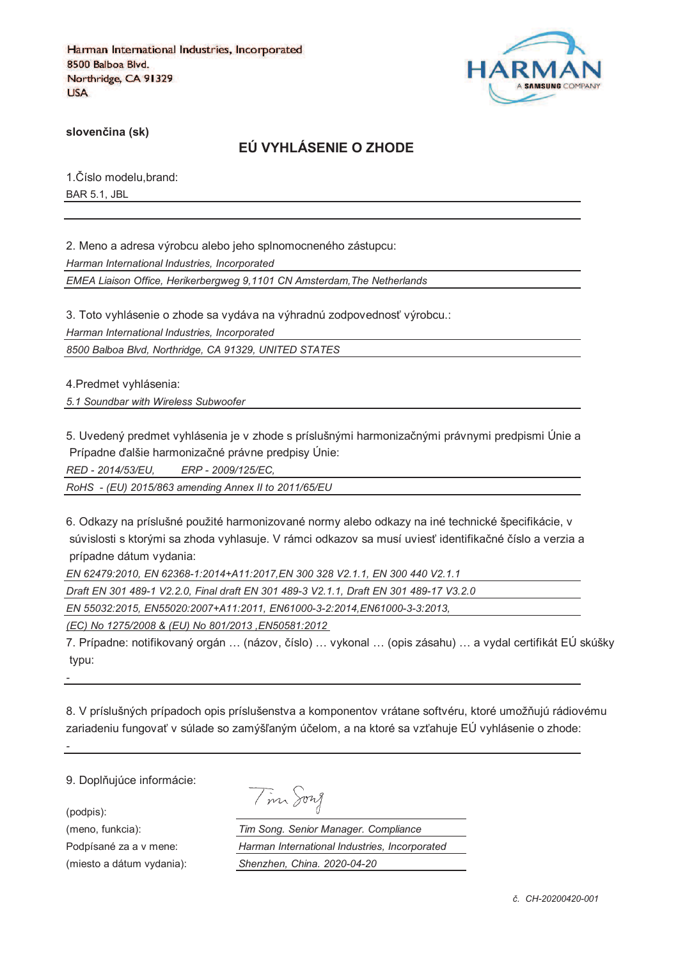

**sloven%ina (sk)**

# **EÚ VYHLÁSENIE O ZHODE**

1. Číslo modelu, brand: BAR 5.1, JBL

2. Meno a adresa výrobcu alebo jeho splnomocneného zástupcu: *Harman International Industries, Incorporated EMEA Liaison Office, Herikerbergweg 9,1101 CN Amsterdam,The Netherlands*

3. Toto vyhlásenie o zhode sa vydáva na výhradnú zodpovednosť výrobcu.:

*Harman International Industries, Incorporated*

*8500 Balboa Blvd, Northridge, CA 91329, UNITED STATES*

4.Predmet vyhlásenia:

*5.1 Soundbar with Wireless Subwoofer*

5. Uvedený predmet vyhlásenia je v zhode s príslušnými harmonizačnými právnymi predpismi Únie a Prípadne ďalšie harmonizačné právne predpisy Únie:

*RED - 2014/53/EU, ERP - 2009/125/EC,*

*RoHS - (EU) 2015/863 amending Annex II to 2011/65/EU*

6. Odkazy na príslušné použité harmonizované normy alebo odkazy na iné technické špecifikácie, v súvislosti s ktorými sa zhoda vyhlasuje. V rámci odkazov sa musí uviesť identifikačné číslo a verzia a prípadne dátum vydania:

*EN 62479:2010, EN 62368-1:2014+A11:2017,EN 300 328 V2.1.1, EN 300 440 V2.1.1*

*Draft EN 301 489-1 V2.2.0, Final draft EN 301 489-3 V2.1.1, Draft EN 301 489-17 V3.2.0*

*EN 55032:2015, EN55020:2007+A11:2011, EN61000-3-2:2014,EN61000-3-3:2013,* 

*(EC) No 1275/2008 & (EU) No 801/2013 ,EN50581:2012* 

7. Prípadne: notifikovaný orgán ... (názov, číslo) ... vykonal ... (opis zásahu) ... a vydal certifikát EÚ skúšky typu:

8. V príslušných prípadoch opis príslušenstva a komponentov vrátane softvéru, ktoré umožňujú rádiovému zariadeniu fungovať v súlade so zamýšľaným účelom, a na ktoré sa vzťahuje EÚ vyhlásenie o zhode:

9. Doplňujúce informácie:

(podpis):

*-*

*-*

| ノ | าพา |
|---|-----|
|---|-----|

(meno, funkcia): *Tim Song. Senior Manager. Compliance* Podpísané za a v mene: *Harman International Industries, Incorporated* (miesto a dátum vydania): *Shenzhen, China. 2020-04-20*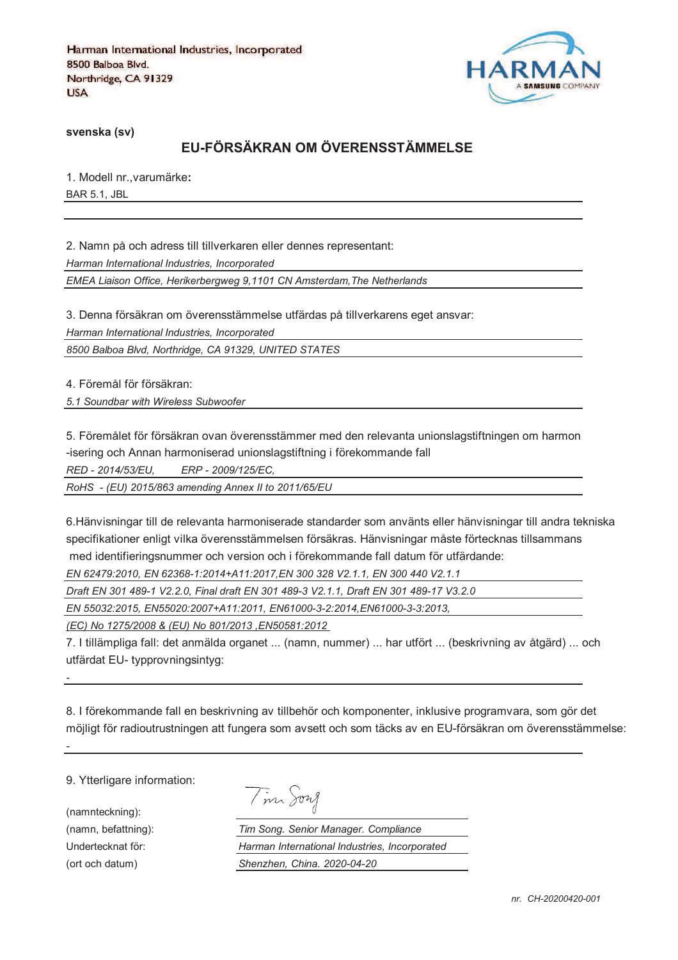

**svenska (sv)**

# **EU-FÖRSÄKRAN OM ÖVERENSSTÄMMELSE**

1. Modell nr.,varumärke**:** BAR 5.1, JBL

2. Namn på och adress till tillverkaren eller dennes representant: *Harman International Industries, Incorporated EMEA Liaison Office, Herikerbergweg 9,1101 CN Amsterdam,The Netherlands*

3. Denna försäkran om överensstämmelse utfärdas på tillverkarens eget ansvar:

*Harman International Industries, Incorporated*

*8500 Balboa Blvd, Northridge, CA 91329, UNITED STATES*

4. Föremål för försäkran:

*5.1 Soundbar with Wireless Subwoofer*

5. Föremålet för försäkran ovan överensstämmer med den relevanta unionslagstiftningen om harmon -isering och Annan harmoniserad unionslagstiftning i förekommande fall

*RED - 2014/53/EU, ERP - 2009/125/EC,*

*RoHS - (EU) 2015/863 amending Annex II to 2011/65/EU*

6.Hänvisningar till de relevanta harmoniserade standarder som använts eller hänvisningar till andra tekniska specifikationer enligt vilka överensstämmelsen försäkras. Hänvisningar måste förtecknas tillsammans med identifieringsnummer och version och i förekommande fall datum för utfärdande:

*EN 62479:2010, EN 62368-1:2014+A11:2017,EN 300 328 V2.1.1, EN 300 440 V2.1.1*

*Draft EN 301 489-1 V2.2.0, Final draft EN 301 489-3 V2.1.1, Draft EN 301 489-17 V3.2.0*

*EN 55032:2015, EN55020:2007+A11:2011, EN61000-3-2:2014,EN61000-3-3:2013,* 

*(EC) No 1275/2008 & (EU) No 801/2013 ,EN50581:2012* 

7. I tillämpliga fall: det anmälda organet ... (namn, nummer) ... har utfört ... (beskrivning av åtgärd) ... och utfärdat EU- typprovningsintyg:

8. I förekommande fall en beskrivning av tillbehör och komponenter, inklusive programvara, som gör det möjligt för radioutrustningen att fungera som avsett och som täcks av en EU-försäkran om överensstämmelse:

9. Ytterligare information:

(namnteckning):

*-*

*-*

Tim Song

(namn, befattning): *Tim Song. Senior Manager. Compliance* Undertecknat för: *Harman International Industries, Incorporated* (ort och datum) *Shenzhen, China. 2020-04-20*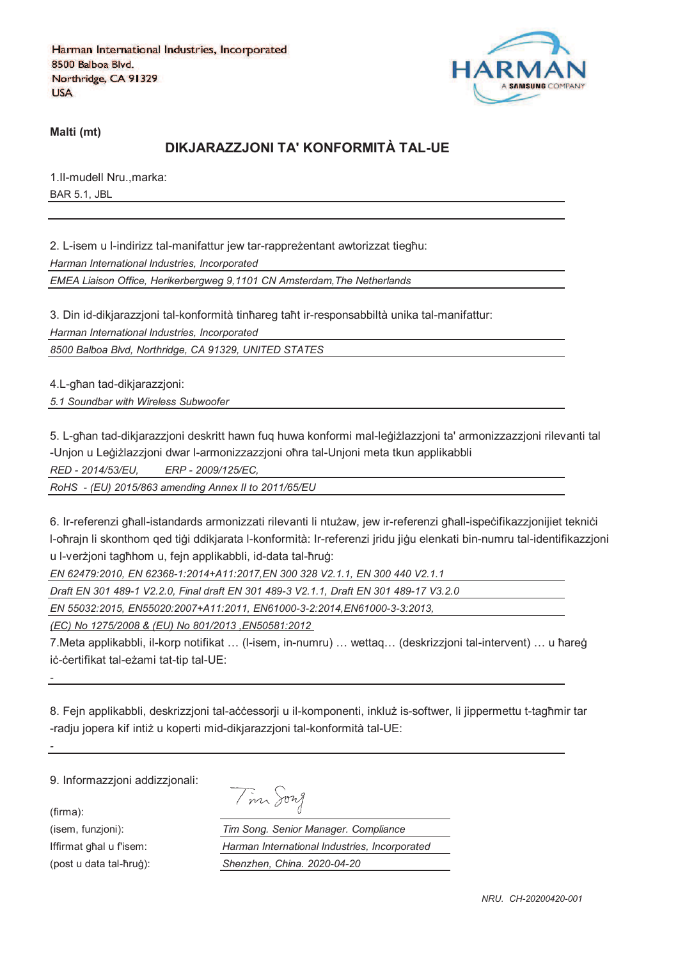

**Malti (mt)**

# **DIKJARAZZJONI TA' KONFORMITÀ TAL-UE**

1.Il-mudell Nru.,marka: BAR 5.1, JBL

2. L-isem u l-indirizz tal-manifattur jew tar-rappreżentant awtorizzat tiegħu:

*Harman International Industries, Incorporated*

*EMEA Liaison Office, Herikerbergweg 9,1101 CN Amsterdam,The Netherlands*

3. Din id-dikjarazzjoni tal-konformità tinħareg taħt ir-responsabbiltà unika tal-manifattur:

*Harman International Industries, Incorporated*

*8500 Balboa Blvd, Northridge, CA 91329, UNITED STATES*

4.L-ghan tad-dikjarazzjoni:

*5.1 Soundbar with Wireless Subwoofer*

5. L-għan tad-dikiarazzioni deskritt hawn fug huwa konformi mal-leġiżlazzioni ta' armonizzazzioni rilevanti tal -Unjon u Leģiżlazzjoni dwar l-armonizzazzjoni oħra tal-Unjoni meta tkun applikabbli

*RED - 2014/53/EU, ERP - 2009/125/EC,*

*RoHS - (EU) 2015/863 amending Annex II to 2011/65/EU*

6. Ir-referenzi ghall-istandards armonizzati rilevanti li ntużaw, jew ir-referenzi ghall-ispecifikazzjonijiet teknici l-oħrajn li skonthom qed tiģi ddikjarata l-konformità: Ir-referenzi jridu jiġu elenkati bin-numru tal-identifikazzjoni u l-verzioni taghhom u, fein applikabbli, id-data tal-hrug:

*EN 62479:2010, EN 62368-1:2014+A11:2017,EN 300 328 V2.1.1, EN 300 440 V2.1.1*

*Draft EN 301 489-1 V2.2.0, Final draft EN 301 489-3 V2.1.1, Draft EN 301 489-17 V3.2.0*

*EN 55032:2015, EN55020:2007+A11:2011, EN61000-3-2:2014,EN61000-3-3:2013,* 

*(EC) No 1275/2008 & (EU) No 801/2013 ,EN50581:2012* 

7.Meta applikabbli, il-korp notifikat ... (I-isem, in-numru) ... wettaq... (deskrizzjoni tal-intervent) ... u ħareġ iċ-ċertifikat tal-eżami tat-tip tal-UE:

8. Fejn applikabbli, deskrizzjoni tal-accessorji u il-komponenti, inkluž is-softwer, li jippermettu t-tagħmir tar -radju jopera kif intiż u koperti mid-dikjarazzjoni tal-konformità tal-UE:

9. Informazzjoni addizzjonali:

(firma):

*-*

*-*

| $\sqrt{2}$ |
|------------|
|------------|

(isem, funzjoni): *Tim Song. Senior Manager. Compliance* Iffirmat ghal u fisem: *Harman International Industries, Incorporated* (post u data tal-ħruġ): *Shenzhen, China. 2020-04-20*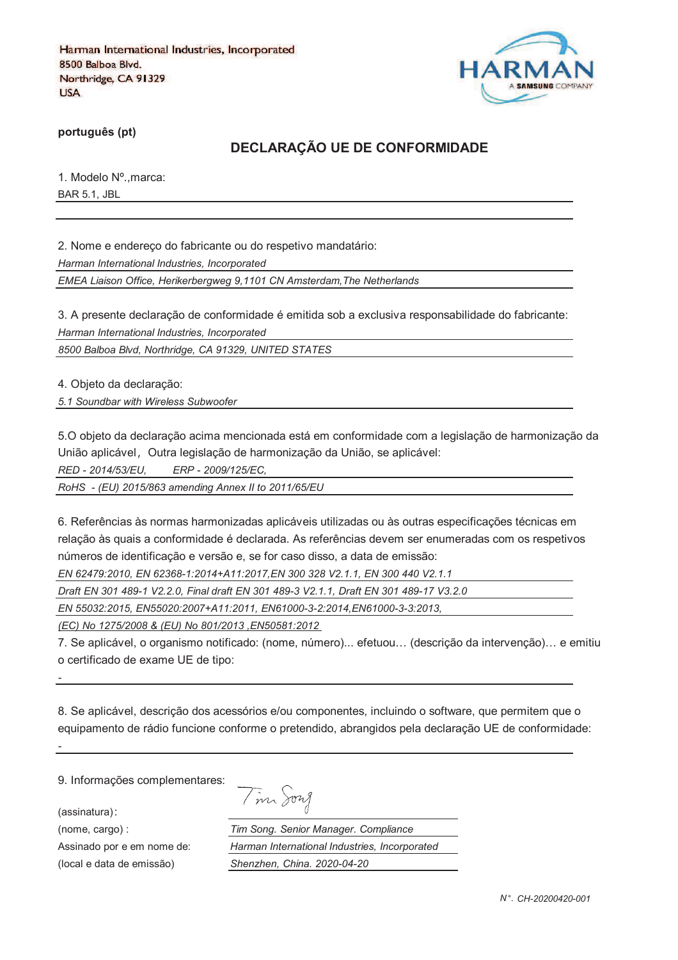

**português (pt)**

# **DECLARAÇÃO UE DE CONFORMIDADE**

1. Modelo Nº.,marca: BAR 5.1, JBL

2. Nome e endereço do fabricante ou do respetivo mandatário:

*Harman International Industries, Incorporated*

*EMEA Liaison Office, Herikerbergweg 9,1101 CN Amsterdam,The Netherlands*

3. A presente declaração de conformidade é emitida sob a exclusiva responsabilidade do fabricante: *Harman International Industries, Incorporated*

*8500 Balboa Blvd, Northridge, CA 91329, UNITED STATES*

4. Objeto da declaração:

*5.1 Soundbar with Wireless Subwoofer*

5.O objeto da declaração acima mencionada está em conformidade com a legislação de harmonização da União aplicável, Outra legislação de harmonização da União, se aplicável:

*RED - 2014/53/EU, ERP - 2009/125/EC,*

*RoHS - (EU) 2015/863 amending Annex II to 2011/65/EU*

6. Referências às normas harmonizadas aplicáveis utilizadas ou às outras especificações técnicas em relação às quais a conformidade é declarada. As referências devem ser enumeradas com os respetivos números de identificação e versão e, se for caso disso, a data de emissão:

*EN 62479:2010, EN 62368-1:2014+A11:2017,EN 300 328 V2.1.1, EN 300 440 V2.1.1*

*Draft EN 301 489-1 V2.2.0, Final draft EN 301 489-3 V2.1.1, Draft EN 301 489-17 V3.2.0*

*EN 55032:2015, EN55020:2007+A11:2011, EN61000-3-2:2014,EN61000-3-3:2013,* 

*(EC) No 1275/2008 & (EU) No 801/2013 ,EN50581:2012* 

7. Se aplicável, o organismo notificado: (nome, número)... efetuou… (descrição da intervenção)… e emitiu o certificado de exame UE de tipo:

8. Se aplicável, descrição dos acessórios e/ou componentes, incluindo o software, que permitem que o equipamento de rádio funcione conforme o pretendido, abrangidos pela declaração UE de conformidade:

9. Informações complementares:

(assinatura)

*-*

*-*

| 1970 A |  |
|--------|--|
|--------|--|

(nome, cargo) : *Tim Song. Senior Manager. Compliance* Assinado por e em nome de: *Harman International Industries, Incorporated* (local e data de emissão) *Shenzhen, China. 2020-04-20*